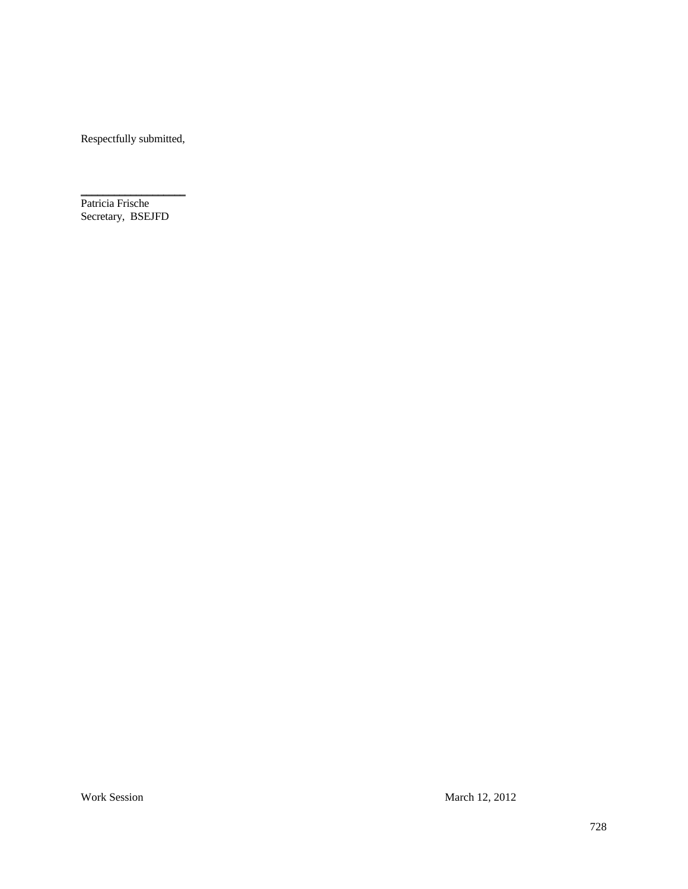Respectfully submitted,

Patricia Frische Secretary, BSEJFD

 $\overline{\phantom{a}}$  , and the set of the set of the set of the set of the set of the set of the set of the set of the set of the set of the set of the set of the set of the set of the set of the set of the set of the set of the s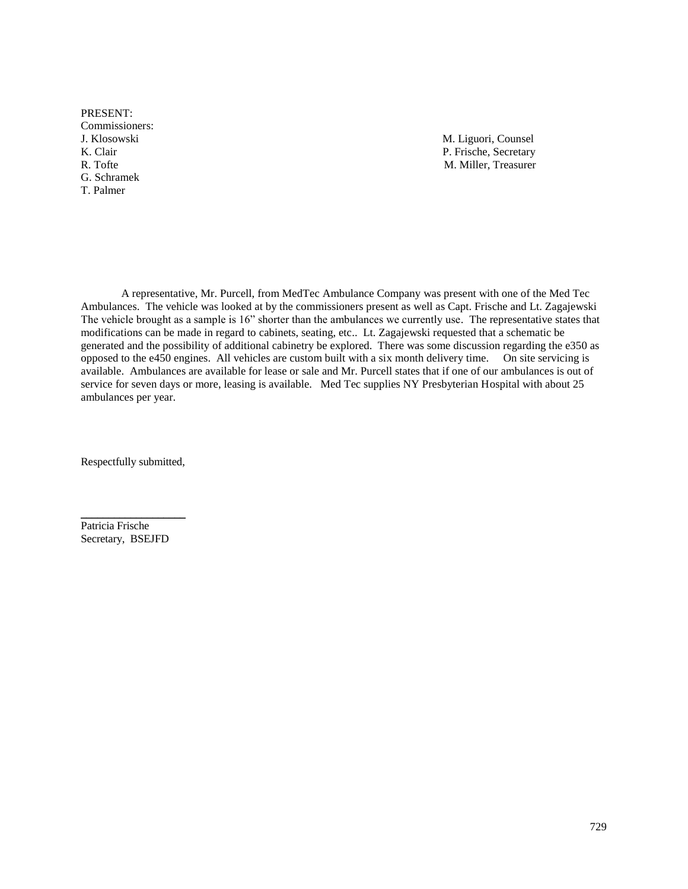PRESENT: Commissioners: G. Schramek T. Palmer

J. Klosowski M. Liguori, Counsel K. Clair P. Frische, Secretary P. Frische, Secretary R. Tofte M. Miller, Treasurer

A representative, Mr. Purcell, from MedTec Ambulance Company was present with one of the Med Tec Ambulances. The vehicle was looked at by the commissioners present as well as Capt. Frische and Lt. Zagajewski The vehicle brought as a sample is 16" shorter than the ambulances we currently use. The representative states that modifications can be made in regard to cabinets, seating, etc.. Lt. Zagajewski requested that a schematic be generated and the possibility of additional cabinetry be explored. There was some discussion regarding the e350 as opposed to the e450 engines. All vehicles are custom built with a six month delivery time. On site servicing is available. Ambulances are available for lease or sale and Mr. Purcell states that if one of our ambulances is out of service for seven days or more, leasing is available. Med Tec supplies NY Presbyterian Hospital with about 25 ambulances per year.

Respectfully submitted,

 $\overline{\phantom{a}}$  , and the set of the set of the set of the set of the set of the set of the set of the set of the set of the set of the set of the set of the set of the set of the set of the set of the set of the set of the s

Patricia Frische Secretary, BSEJFD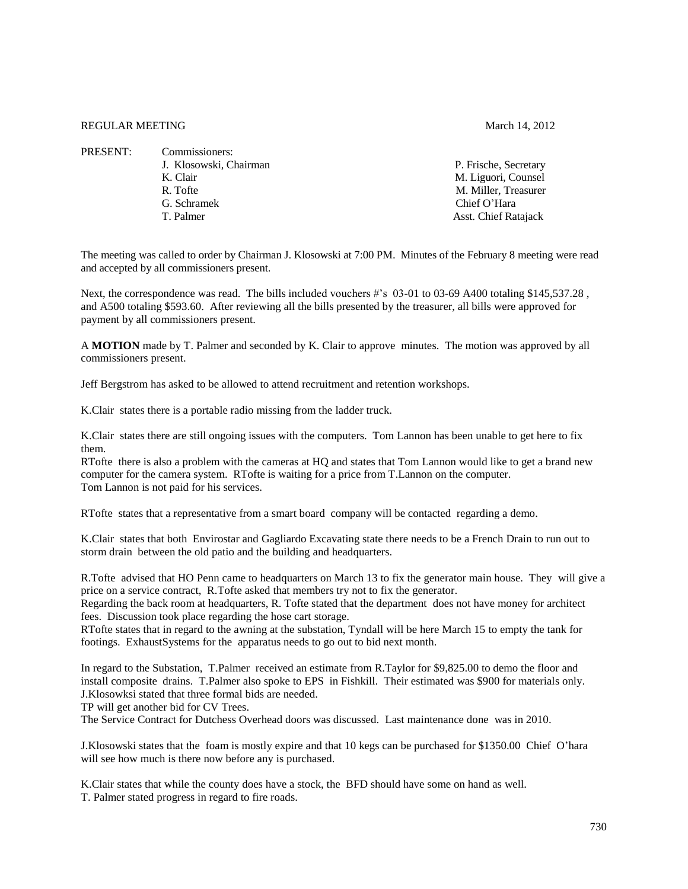## REGULAR MEETING March 14, 2012

| P. Frische, Secretary       |
|-----------------------------|
| M. Liguori, Counsel         |
| M. Miller, Treasurer        |
| Chief O'Hara                |
| <b>Asst. Chief Ratajack</b> |
|                             |

The meeting was called to order by Chairman J. Klosowski at 7:00 PM. Minutes of the February 8 meeting were read and accepted by all commissioners present.

Next, the correspondence was read. The bills included vouchers #'s 03-01 to 03-69 A400 totaling \$145,537.28 , and A500 totaling \$593.60. After reviewing all the bills presented by the treasurer, all bills were approved for payment by all commissioners present.

A **MOTION** made by T. Palmer and seconded by K. Clair to approve minutes. The motion was approved by all commissioners present.

Jeff Bergstrom has asked to be allowed to attend recruitment and retention workshops.

K.Clair states there is a portable radio missing from the ladder truck.

K.Clair states there are still ongoing issues with the computers. Tom Lannon has been unable to get here to fix them.

RTofte there is also a problem with the cameras at HQ and states that Tom Lannon would like to get a brand new computer for the camera system. RTofte is waiting for a price from T.Lannon on the computer. Tom Lannon is not paid for his services.

RTofte states that a representative from a smart board company will be contacted regarding a demo.

K.Clair states that both Envirostar and Gagliardo Excavating state there needs to be a French Drain to run out to storm drain between the old patio and the building and headquarters.

R.Tofte advised that HO Penn came to headquarters on March 13 to fix the generator main house. They will give a price on a service contract, R.Tofte asked that members try not to fix the generator.

Regarding the back room at headquarters, R. Tofte stated that the department does not have money for architect fees. Discussion took place regarding the hose cart storage.

RTofte states that in regard to the awning at the substation, Tyndall will be here March 15 to empty the tank for footings. ExhaustSystems for the apparatus needs to go out to bid next month.

In regard to the Substation, T.Palmer received an estimate from R.Taylor for \$9,825.00 to demo the floor and install composite drains. T.Palmer also spoke to EPS in Fishkill. Their estimated was \$900 for materials only. J.Klosowksi stated that three formal bids are needed.

TP will get another bid for CV Trees.

The Service Contract for Dutchess Overhead doors was discussed. Last maintenance done was in 2010.

J.Klosowski states that the foam is mostly expire and that 10 kegs can be purchased for \$1350.00 Chief O'hara will see how much is there now before any is purchased.

K.Clair states that while the county does have a stock, the BFD should have some on hand as well. T. Palmer stated progress in regard to fire roads.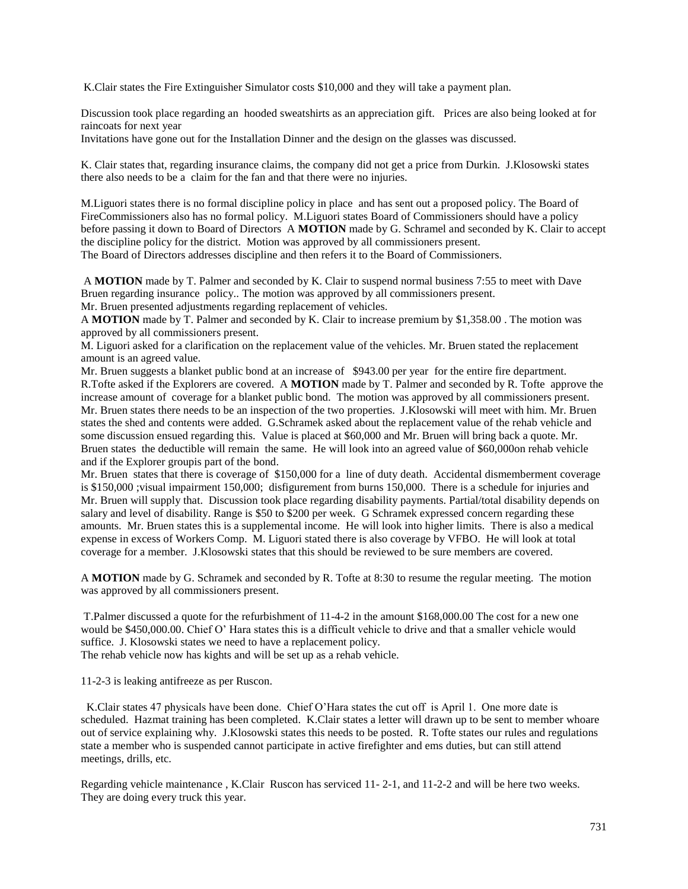K.Clair states the Fire Extinguisher Simulator costs \$10,000 and they will take a payment plan.

Discussion took place regarding an hooded sweatshirts as an appreciation gift. Prices are also being looked at for raincoats for next year

Invitations have gone out for the Installation Dinner and the design on the glasses was discussed.

K. Clair states that, regarding insurance claims, the company did not get a price from Durkin. J.Klosowski states there also needs to be a claim for the fan and that there were no injuries.

M.Liguori states there is no formal discipline policy in place and has sent out a proposed policy. The Board of FireCommissioners also has no formal policy. M.Liguori states Board of Commissioners should have a policy before passing it down to Board of Directors A **MOTION** made by G. Schramel and seconded by K. Clair to accept the discipline policy for the district. Motion was approved by all commissioners present. The Board of Directors addresses discipline and then refers it to the Board of Commissioners.

A **MOTION** made by T. Palmer and seconded by K. Clair to suspend normal business 7:55 to meet with Dave Bruen regarding insurance policy.. The motion was approved by all commissioners present. Mr. Bruen presented adjustments regarding replacement of vehicles.

A **MOTION** made by T. Palmer and seconded by K. Clair to increase premium by \$1,358.00 . The motion was approved by all commissioners present.

M. Liguori asked for a clarification on the replacement value of the vehicles. Mr. Bruen stated the replacement amount is an agreed value.

Mr. Bruen suggests a blanket public bond at an increase of \$943.00 per year for the entire fire department. R.Tofte asked if the Explorers are covered. A **MOTION** made by T. Palmer and seconded by R. Tofte approve the increase amount of coverage for a blanket public bond. The motion was approved by all commissioners present. Mr. Bruen states there needs to be an inspection of the two properties. J.Klosowski will meet with him. Mr. Bruen states the shed and contents were added. G.Schramek asked about the replacement value of the rehab vehicle and some discussion ensued regarding this. Value is placed at \$60,000 and Mr. Bruen will bring back a quote. Mr. Bruen states the deductible will remain the same. He will look into an agreed value of \$60,000on rehab vehicle and if the Explorer groupis part of the bond.

Mr. Bruen states that there is coverage of \$150,000 for a line of duty death. Accidental dismemberment coverage is \$150,000 ; visual impairment 150,000; disfigurement from burns 150,000. There is a schedule for injuries and Mr. Bruen will supply that. Discussion took place regarding disability payments. Partial/total disability depends on salary and level of disability. Range is \$50 to \$200 per week. G Schramek expressed concern regarding these amounts. Mr. Bruen states this is a supplemental income. He will look into higher limits. There is also a medical expense in excess of Workers Comp. M. Liguori stated there is also coverage by VFBO. He will look at total coverage for a member. J.Klosowski states that this should be reviewed to be sure members are covered.

A **MOTION** made by G. Schramek and seconded by R. Tofte at 8:30 to resume the regular meeting. The motion was approved by all commissioners present.

T.Palmer discussed a quote for the refurbishment of 11-4-2 in the amount \$168,000.00 The cost for a new one would be \$450,000.00. Chief O' Hara states this is a difficult vehicle to drive and that a smaller vehicle would suffice. J. Klosowski states we need to have a replacement policy.

The rehab vehicle now has kights and will be set up as a rehab vehicle.

11-2-3 is leaking antifreeze as per Ruscon.

 K.Clair states 47 physicals have been done. Chief O'Hara states the cut off is April 1. One more date is scheduled. Hazmat training has been completed. K.Clair states a letter will drawn up to be sent to member whoare out of service explaining why. J.Klosowski states this needs to be posted. R. Tofte states our rules and regulations state a member who is suspended cannot participate in active firefighter and ems duties, but can still attend meetings, drills, etc.

Regarding vehicle maintenance , K.Clair Ruscon has serviced 11- 2-1, and 11-2-2 and will be here two weeks. They are doing every truck this year.